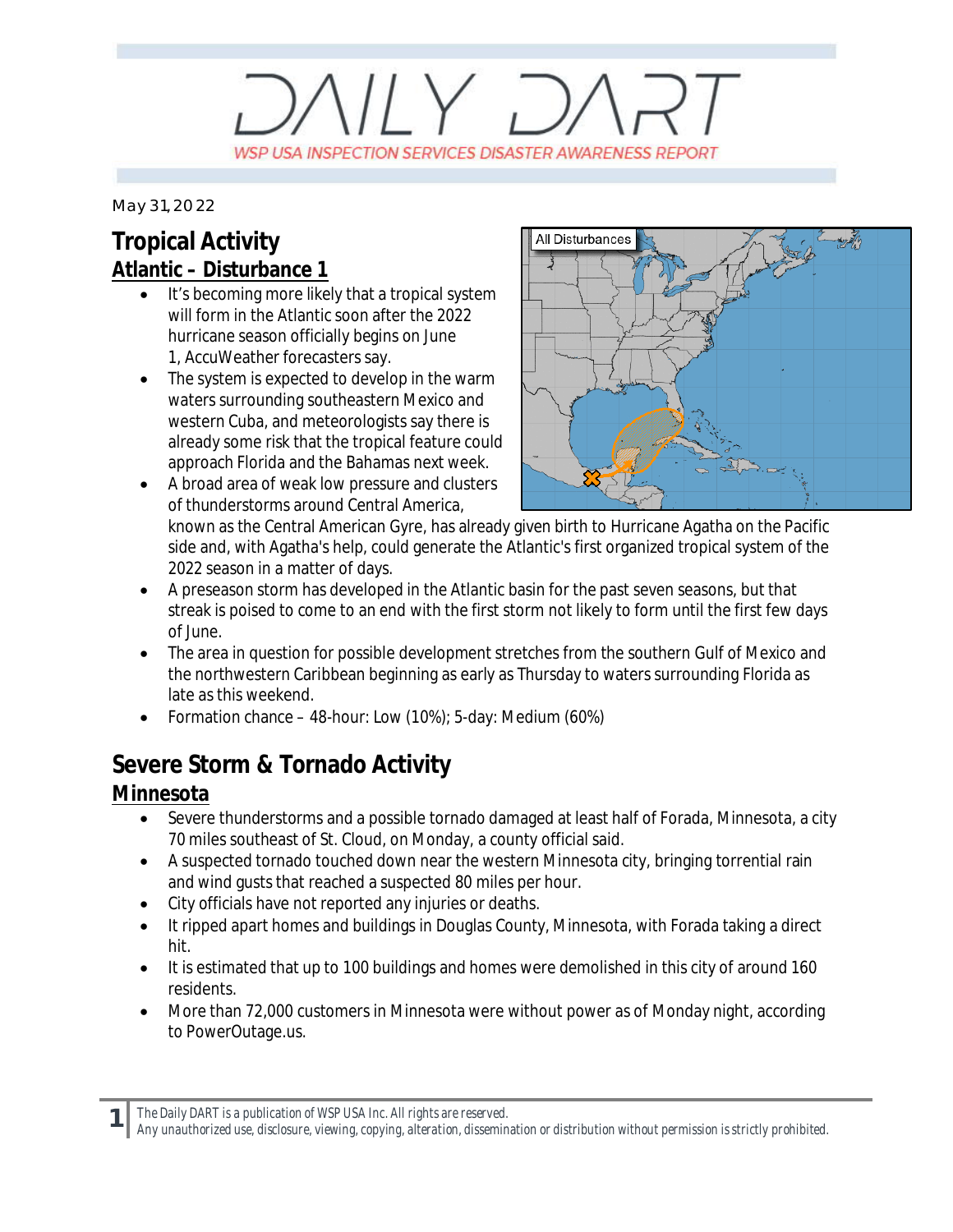# $V/Y$   $D$ WSP USA INSPECTION SERVICES DISASTER AWARENESS REPORT

*May 31, 2022*

## **Tropical Activity Atlantic – Disturbance 1**

- It's becoming more likely that a tropical system will form in the Atlantic soon after the 2022 hurricane season officially begins on June 1, AccuWeather forecasters say.
- · The system is expected to develop in the warm waters surrounding southeastern Mexico and western Cuba, and meteorologists say there is already some risk that the tropical feature could approach Florida and the Bahamas next week.
- · A broad area of weak low pressure and clusters of thunderstorms around Central America,



known as the Central American Gyre, has already given birth to Hurricane Agatha on the Pacific side and, with Agatha's help, could generate the Atlantic's first organized tropical system of the 2022 season in a matter of days.

- · A preseason storm has developed in the Atlantic basin for the past seven seasons, but that streak is poised to come to an end with the first storm not likely to form until the first few days of June.
- The area in question for possible development stretches from the southern Gulf of Mexico and the northwestern Caribbean beginning as early as Thursday to waters surrounding Florida as late as this weekend.
- · Formation chance 48-hour: Low (10%); 5-day: Medium (60%)

## **Severe Storm & Tornado Activity**

#### **Minnesota**

- Severe thunderstorms and a possible tornado damaged at least half of Forada, Minnesota, a city 70 miles southeast of St. Cloud, on Monday, a county official said.
- A suspected tornado touched down near the western Minnesota city, bringing torrential rain and wind gusts that reached a suspected 80 miles per hour.
- · City officials have not reported any injuries or deaths.
- · It ripped apart homes and buildings in Douglas County, Minnesota, with Forada taking a direct hit.
- It is estimated that up to 100 buildings and homes were demolished in this city of around 160 residents.
- · More than 72,000 customers in Minnesota were without power as of Monday night, according to PowerOutage.us.

**1** *The Daily DART is a publication of WSP USA Inc. All rights are reserved.*

*Any unauthorized use, disclosure, viewing, copying, alteration, dissemination or distribution without permission is strictly prohibited.*